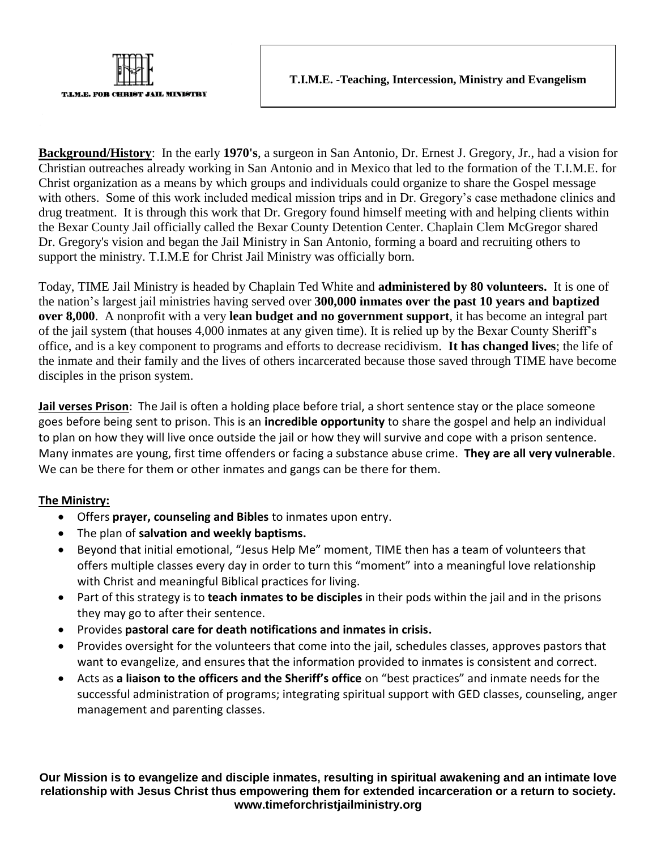

**Background/History**: In the early **1970's**, a surgeon in San Antonio, Dr. Ernest J. Gregory, Jr., had a vision for Christian outreaches already working in San Antonio and in Mexico that led to the formation of the T.I.M.E. for Christ organization as a means by which groups and individuals could organize to share the Gospel message with others. Some of this work included medical mission trips and in Dr. Gregory's case methadone clinics and drug treatment. It is through this work that Dr. Gregory found himself meeting with and helping clients within the Bexar County Jail officially called the Bexar County Detention Center. Chaplain Clem McGregor shared Dr. Gregory's vision and began the Jail Ministry in San Antonio, forming a board and recruiting others to support the ministry. T.I.M.E for Christ Jail Ministry was officially born.

Today, TIME Jail Ministry is headed by Chaplain Ted White and **administered by 80 volunteers.** It is one of the nation's largest jail ministries having served over **300,000 inmates over the past 10 years and baptized over 8,000**. A nonprofit with a very **lean budget and no government support**, it has become an integral part of the jail system (that houses 4,000 inmates at any given time). It is relied up by the Bexar County Sheriff's office, and is a key component to programs and efforts to decrease recidivism. **It has changed lives**; the life of the inmate and their family and the lives of others incarcerated because those saved through TIME have become disciples in the prison system.

**Jail verses Prison**: The Jail is often a holding place before trial, a short sentence stay or the place someone goes before being sent to prison. This is an **incredible opportunity** to share the gospel and help an individual to plan on how they will live once outside the jail or how they will survive and cope with a prison sentence. Many inmates are young, first time offenders or facing a substance abuse crime. **They are all very vulnerable**. We can be there for them or other inmates and gangs can be there for them.

## **The Ministry:**

T.I.M.E. FOR CHRI

**JAIL MINISTRY** 

- Offers **prayer, counseling and Bibles** to inmates upon entry.
- The plan of **salvation and weekly baptisms.**
- Beyond that initial emotional, "Jesus Help Me" moment, TIME then has a team of volunteers that offers multiple classes every day in order to turn this "moment" into a meaningful love relationship with Christ and meaningful Biblical practices for living.
- Part of this strategy is to **teach inmates to be disciples** in their pods within the jail and in the prisons they may go to after their sentence.
- Provides **pastoral care for death notifications and inmates in crisis.**
- Provides oversight for the volunteers that come into the jail, schedules classes, approves pastors that want to evangelize, and ensures that the information provided to inmates is consistent and correct.
- Acts as **a liaison to the officers and the Sheriff's office** on "best practices" and inmate needs for the successful administration of programs; integrating spiritual support with GED classes, counseling, anger management and parenting classes.

**Our Mission is to evangelize and disciple inmates, resulting in spiritual awakening and an intimate love relationship with Jesus Christ thus empowering them for extended incarceration or a return to society. www.timeforchristjailministry.org**